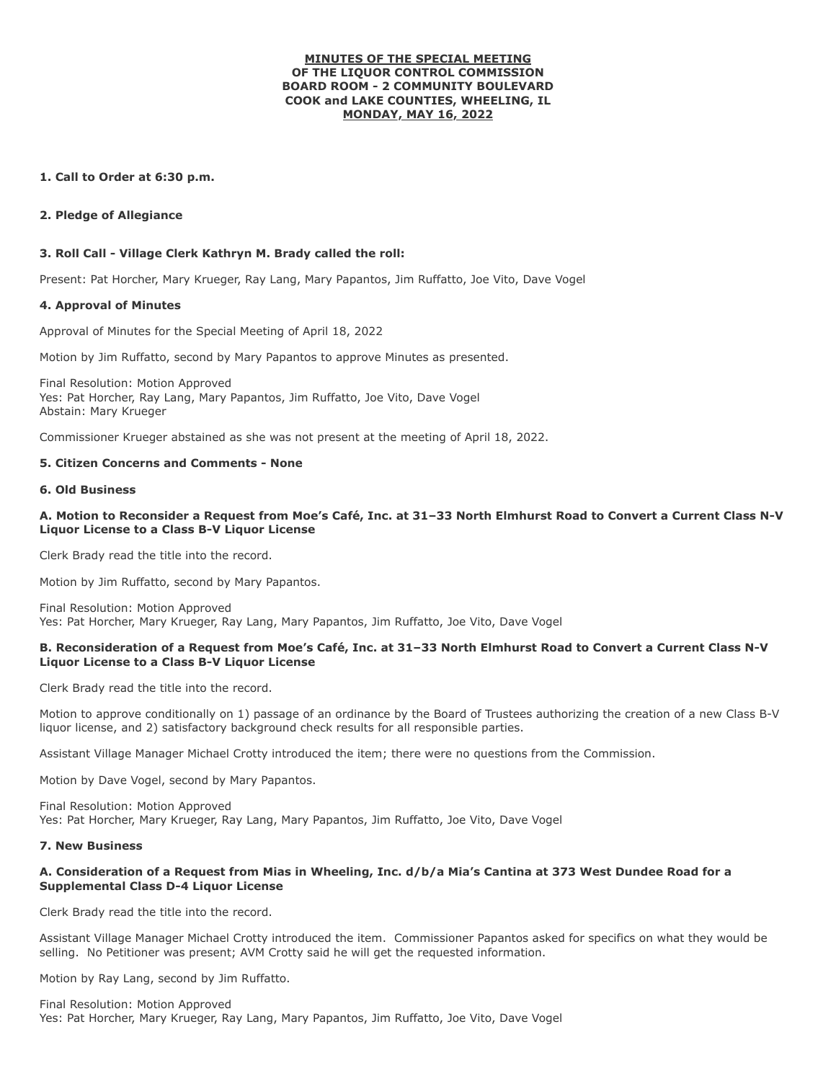### **MINUTES OF THE SPECIAL MEETING OF THE LIQUOR CONTROL COMMISSION BOARD ROOM - 2 COMMUNITY BOULEVARD COOK and LAKE COUNTIES, WHEELING, IL MONDAY, MAY 16, 2022**

# **1. Call to Order at 6:30 p.m.**

### **2. Pledge of Allegiance**

# **3. Roll Call - Village Clerk Kathryn M. Brady called the roll:**

Present: Pat Horcher, Mary Krueger, Ray Lang, Mary Papantos, Jim Ruffatto, Joe Vito, Dave Vogel

### **4. Approval of Minutes**

Approval of Minutes for the Special Meeting of April 18, 2022

Motion by Jim Ruffatto, second by Mary Papantos to approve Minutes as presented.

Final Resolution: Motion Approved Yes: Pat Horcher, Ray Lang, Mary Papantos, Jim Ruffatto, Joe Vito, Dave Vogel Abstain: Mary Krueger

Commissioner Krueger abstained as she was not present at the meeting of April 18, 2022.

### **5. Citizen Concerns and Comments - None**

#### **6. Old Business**

# **A. Motion to Reconsider a Request from Moe's Café, Inc. at 31–33 North Elmhurst Road to Convert a Current Class N-V Liquor License to a Class B-V Liquor License**

Clerk Brady read the title into the record.

Motion by Jim Ruffatto, second by Mary Papantos.

Final Resolution: Motion Approved Yes: Pat Horcher, Mary Krueger, Ray Lang, Mary Papantos, Jim Ruffatto, Joe Vito, Dave Vogel

# **B. Reconsideration of a Request from Moe's Café, Inc. at 31–33 North Elmhurst Road to Convert a Current Class N-V Liquor License to a Class B-V Liquor License**

Clerk Brady read the title into the record.

Motion to approve conditionally on 1) passage of an ordinance by the Board of Trustees authorizing the creation of a new Class B-V liquor license, and 2) satisfactory background check results for all responsible parties.

Assistant Village Manager Michael Crotty introduced the item; there were no questions from the Commission.

Motion by Dave Vogel, second by Mary Papantos.

Final Resolution: Motion Approved Yes: Pat Horcher, Mary Krueger, Ray Lang, Mary Papantos, Jim Ruffatto, Joe Vito, Dave Vogel

#### **7. New Business**

### **A. Consideration of a Request from Mias in Wheeling, Inc. d/b/a Mia's Cantina at 373 West Dundee Road for a Supplemental Class D-4 Liquor License**

Clerk Brady read the title into the record.

Assistant Village Manager Michael Crotty introduced the item. Commissioner Papantos asked for specifics on what they would be selling. No Petitioner was present; AVM Crotty said he will get the requested information.

Motion by Ray Lang, second by Jim Ruffatto.

Final Resolution: Motion Approved Yes: Pat Horcher, Mary Krueger, Ray Lang, Mary Papantos, Jim Ruffatto, Joe Vito, Dave Vogel